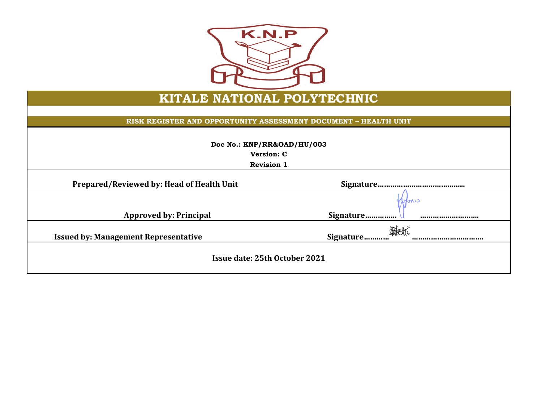

## **KITALE NATIONAL POLYTECHNIC**

## **RISK REGISTER AND OPPORTUNITY ASSESSMENT DOCUMENT – HEALTH UNIT**

|  | Doc No.: KNP/RR&OAD/HU/003 |
|--|----------------------------|
|--|----------------------------|

**Version: C**

**Revision 1**

**Prepared/Reviewed by: Head of Health Unit Signature………………………………......**

ыш

|  |  | Prepared/Reviewed by: Head of Health Unit |  |
|--|--|-------------------------------------------|--|
|--|--|-------------------------------------------|--|

 **Approved by: Principal Signature…………… ……………………….**

**Issued by: Management Representative Signature………… …………………………….**

**Issue date: 25th October 2021**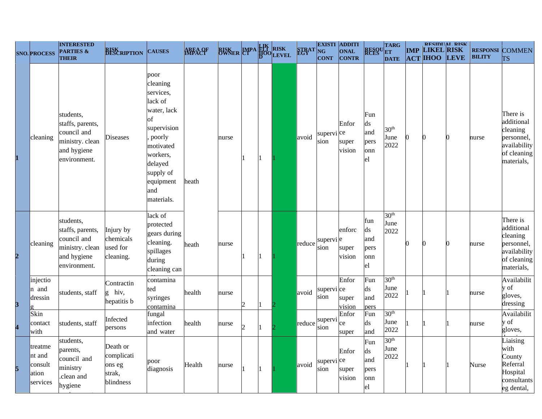|                         |                                                   | <b>INTERESTED</b>                                                                              |                                                         |                                                                                                                                                                           |                |                            |   |     |                 | <b>EXISTI ADDITI</b>          |                           |                                       |                                  |            |                   | <b>RESIDUAL RISK</b> |               |                                                                                               |
|-------------------------|---------------------------------------------------|------------------------------------------------------------------------------------------------|---------------------------------------------------------|---------------------------------------------------------------------------------------------------------------------------------------------------------------------------|----------------|----------------------------|---|-----|-----------------|-------------------------------|---------------------------|---------------------------------------|----------------------------------|------------|-------------------|----------------------|---------------|-----------------------------------------------------------------------------------------------|
|                         | <b>SNO. PROCESS</b>                               | <b>PARTIES &amp;</b><br><b>THEIR</b>                                                           | <b>RISK</b><br><b>BESCRIPTION</b>                       | <b>CAUSES</b>                                                                                                                                                             | <b>AREA OF</b> | <b>BISKER LAPA HA RISK</b> |   |     | <b>STRAT</b> NG | <b>CONT</b>                   | ONAL<br><b>CONTR</b>      |                                       | RESOUTARG<br><b>DATE</b>         | <b>IMP</b> | <b>LIKEL RISK</b> | <b>ACT HOO LEVE</b>  | <b>BILITY</b> | <b>RESPONSI COMMEN</b><br><b>TS</b>                                                           |
| $\mathbf{1}$            | cleaning                                          | students,<br>staffs, parents,<br>council and<br>ministry. clean<br>and hygiene<br>environment. | <b>Diseases</b>                                         | poor<br>cleaning<br>services,<br>lack of<br>water, lack<br>of<br>supervision<br>poorly<br>motivated<br>workers,<br>delayed<br>supply of<br>equipment<br>and<br>materials. | heath          | nurse                      |   |     | avoid           | supervi <sup>ce</sup><br>sion | Enfor<br>super<br>vision  | Fun<br>ds<br>and<br>pers<br>onn<br>el | 30 <sup>th</sup><br>June<br>2022 | n          | $\Omega$          |                      | nurse         | There is<br>additional<br>cleaning<br>personnel,<br>availability<br>of cleaning<br>materials, |
| $\overline{\mathbf{2}}$ | cleaning                                          | students,<br>staffs, parents,<br>council and<br>ministry. clean<br>and hygiene<br>environment. | Injury by<br>chemicals<br>used for<br>cleaning.         | lack of<br>protected<br>gears during<br>cleaning.<br>spillages<br>during<br>cleaning can                                                                                  | heath          | nurse                      |   | 11. | reduce          | supervi <sup> e</sup><br>sion | enforc<br>super<br>vision | fun<br>ds<br>and<br>pers<br>onn<br>el | 30 <sup>th</sup><br>June<br>2022 | ∩          | n                 |                      | nurse         | There is<br>additional<br>cleaning<br>personnel,<br>availability<br>of cleaning<br>materials, |
| $\overline{\mathbf{3}}$ | injectio<br>n and<br>dressin                      | students, staff                                                                                | Contractin<br>g hiv,<br>hepatitis b                     | contamina<br>ted<br>syringes<br>contamina                                                                                                                                 | health         | nurse                      | 2 |     | avoid           | supervi ce<br>sion            | Enfor<br>super<br>vision  | Fun<br>ds<br>and<br>pers              | 30 <sup>th</sup><br>June<br>2022 |            |                   |                      | nurse         | Availabilit<br>y of<br>gloves,<br>dressing                                                    |
| $\overline{\mathbf{4}}$ | Skin<br>contact<br>with                           | students, staff                                                                                | Infected<br>persons                                     | fungal<br>infection<br>and water                                                                                                                                          | health         | nurse                      | 2 |     | reduce          | supervi<br>sion               | Enfor<br>ce<br>super      | Fun<br>ds<br>and                      | 30 <sup>th</sup><br>June<br>2022 |            |                   |                      | nurse         | Availabilit<br>y of<br>gloves,                                                                |
| 5                       | treatme<br>nt and<br>consult<br>ation<br>services | students,<br>parents,<br>council and<br>ministry<br>.clean and<br>hygiene                      | Death or<br>complicati<br>ons eg<br>strak,<br>blindness | poor<br>diagnosis                                                                                                                                                         | Health         | nurse                      |   |     | avoid           | supervi <sup>ce</sup><br>sion | Enfor<br>super<br>vision  | Fun<br>ds<br>and<br>pers<br>onn<br>el | 30 <sup>th</sup><br>June<br>2022 |            |                   |                      | Nurse         | Liaising<br>with<br>County<br>Referral<br>Hospital<br>consultants<br>eg dental,               |